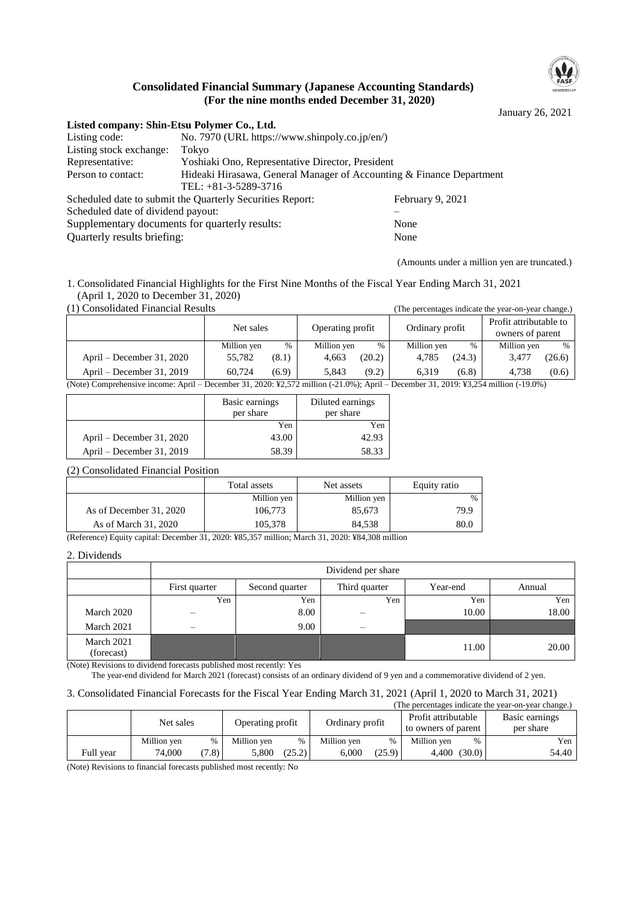

### **Consolidated Financial Summary (Japanese Accounting Standards) (For the nine months ended December 31, 2020)**

January 26, 2021

| Listed company: Shin-Etsu Polymer Co., Ltd.            |                                                                      |                  |  |  |  |  |
|--------------------------------------------------------|----------------------------------------------------------------------|------------------|--|--|--|--|
| Listing code:                                          | No. 7970 (URL https://www.shinpoly.co.jp/en/)                        |                  |  |  |  |  |
| Listing stock exchange:                                | Tokyo                                                                |                  |  |  |  |  |
| Representative:                                        | Yoshiaki Ono, Representative Director, President                     |                  |  |  |  |  |
| Person to contact:                                     | Hideaki Hirasawa, General Manager of Accounting & Finance Department |                  |  |  |  |  |
|                                                        | TEL: $+81-3-5289-3716$                                               |                  |  |  |  |  |
|                                                        | Scheduled date to submit the Quarterly Securities Report:            | February 9, 2021 |  |  |  |  |
| Scheduled date of dividend payout:                     |                                                                      |                  |  |  |  |  |
| Supplementary documents for quarterly results:<br>None |                                                                      |                  |  |  |  |  |
| Quarterly results briefing:                            |                                                                      | None             |  |  |  |  |

(Amounts under a million yen are truncated.)

(The percentages indicate the year-on-year change.)

1. Consolidated Financial Highlights for the First Nine Months of the Fiscal Year Ending March 31, 2021 (April 1, 2020 to December 31, 2020)<br>(1) Consolidated Financial Results

|                                                                                                                                     |             |       |                  |        |                 |        | The percentages meneate are year on year endinger |        |
|-------------------------------------------------------------------------------------------------------------------------------------|-------------|-------|------------------|--------|-----------------|--------|---------------------------------------------------|--------|
|                                                                                                                                     | Net sales   |       | Operating profit |        | Ordinary profit |        | Profit attributable to<br>owners of parent        |        |
|                                                                                                                                     | Million yen | $\%$  | Million yen      | %      | Million yen     | $\%$   | Million yen                                       | $\%$   |
| April – December 31, 2020                                                                                                           | 55.782      | (8.1) | 4.663            | (20.2) | 4.785           | (24.3) | 3.477                                             | (26.6) |
| April – December 31, 2019                                                                                                           | 60.724      | (6.9) | 5.843            | (9.2)  | 6.319           | (6.8)  | 4.738                                             | (0.6)  |
| (Note) Comprehensive income: April – December 31, 2020: ¥2,572 million (-21.0%); April – December 31, 2019: ¥3,254 million (-19.0%) |             |       |                  |        |                 |        |                                                   |        |

|                           | Basic earnings<br>per share | Diluted earnings<br>per share |
|---------------------------|-----------------------------|-------------------------------|
|                           | Yen                         | Yen                           |
| April – December 31, 2020 | 43.00                       | 42.93                         |
| April – December 31, 2019 | 58.39                       | 58.33                         |

(2) Consolidated Financial Position

|                         | Total assets | Net assets  | Equity ratio  |
|-------------------------|--------------|-------------|---------------|
|                         | Million yen  | Million yen | $\frac{0}{0}$ |
| As of December 31, 2020 | 106,773      | 85.673      | 79.9          |
| As of March 31, 2020    | 105.378      | 84.538      | 80.0          |

(Reference) Equity capital: December 31, 2020: ¥85,357 million; March 31, 2020: ¥84,308 million

#### 2. Dividends

|                          | Dividend per share |                |                          |          |        |  |  |  |
|--------------------------|--------------------|----------------|--------------------------|----------|--------|--|--|--|
|                          | First quarter      | Second quarter | Third quarter            | Year-end | Annual |  |  |  |
|                          | Yen                | Yen            | Yen                      | Yen      | Yen    |  |  |  |
| March 2020               |                    | 8.00           | –                        | 10.00    | 18.00  |  |  |  |
| March 2021               | –                  | 9.00           | $\overline{\phantom{0}}$ |          |        |  |  |  |
| March 2021<br>(forecast) |                    |                |                          | 11.00    | 20.00  |  |  |  |

(Note) Revisions to dividend forecasts published most recently: Yes

The year-end dividend for March 2021 (forecast) consists of an ordinary dividend of 9 yen and a commemorative dividend of 2 yen.

#### 3. Consolidated Financial Forecasts for the Fiscal Year Ending March 31, 2021 (April 1, 2020 to March 31, 2021)

| (The percentages indicate the year-on-year change.) |             |       |                  |        |                 |        |                                            |        |                             |
|-----------------------------------------------------|-------------|-------|------------------|--------|-----------------|--------|--------------------------------------------|--------|-----------------------------|
|                                                     | Net sales   |       | Operating profit |        | Ordinary profit |        | Profit attributable<br>to owners of parent |        | Basic earnings<br>per share |
|                                                     | Million yen | %     | Million yen      | %      | Million yen     | $\%$   | Million yen                                | $\%$   | Yen                         |
| Full year                                           | 74,000      | (7.8) | 5.800            | (25.2) | 6.000           | (25.9) | 4.400                                      | (30.0) | 54.40                       |

(Note) Revisions to financial forecasts published most recently: No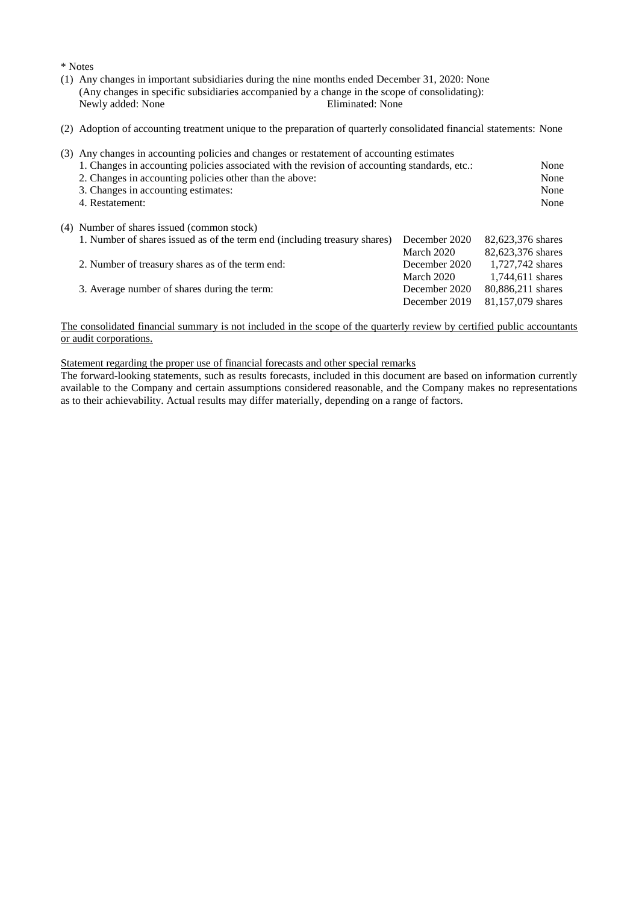\* Notes

- (1) Any changes in important subsidiaries during the nine months ended December 31, 2020: None (Any changes in specific subsidiaries accompanied by a change in the scope of consolidating): Newly added: None
- (2) Adoption of accounting treatment unique to the preparation of quarterly consolidated financial statements: None

| (3) | Any changes in accounting policies and changes or restatement of accounting estimates<br>1. Changes in accounting policies associated with the revision of accounting standards, etc.:<br>2. Changes in accounting policies other than the above:<br>3. Changes in accounting estimates:<br>4. Restatement: |               | None<br>None<br>None<br>None |
|-----|-------------------------------------------------------------------------------------------------------------------------------------------------------------------------------------------------------------------------------------------------------------------------------------------------------------|---------------|------------------------------|
|     | (4) Number of shares issued (common stock)                                                                                                                                                                                                                                                                  |               |                              |
|     | 1. Number of shares issued as of the term end (including treasury shares)                                                                                                                                                                                                                                   | December 2020 | 82,623,376 shares            |
|     |                                                                                                                                                                                                                                                                                                             | March 2020    | 82,623,376 shares            |
|     | 2. Number of treasury shares as of the term end:                                                                                                                                                                                                                                                            | December 2020 | 1,727,742 shares             |
|     |                                                                                                                                                                                                                                                                                                             | March 2020    | 1,744,611 shares             |
|     | 3. Average number of shares during the term:                                                                                                                                                                                                                                                                | December 2020 | 80,886,211 shares            |
|     |                                                                                                                                                                                                                                                                                                             | December 2019 | 81,157,079 shares            |

#### The consolidated financial summary is not included in the scope of the quarterly review by certified public accountants or audit corporations.

Statement regarding the proper use of financial forecasts and other special remarks

The forward-looking statements, such as results forecasts, included in this document are based on information currently available to the Company and certain assumptions considered reasonable, and the Company makes no representations as to their achievability. Actual results may differ materially, depending on a range of factors.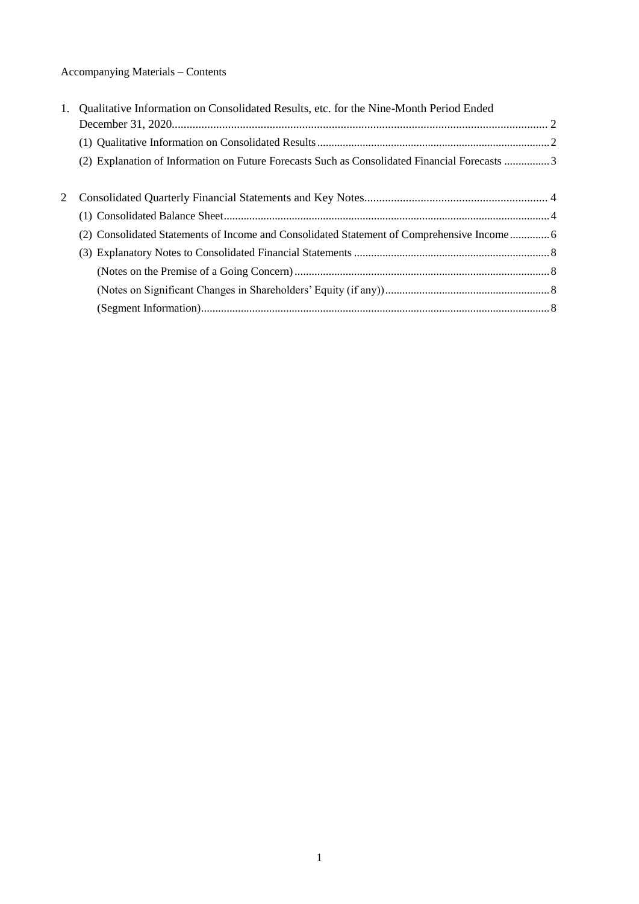# Accompanying Materials – Contents

| (2) Explanation of Information on Future Forecasts Such as Consolidated Financial Forecasts 3 |                                                                                       |
|-----------------------------------------------------------------------------------------------|---------------------------------------------------------------------------------------|
|                                                                                               |                                                                                       |
|                                                                                               |                                                                                       |
|                                                                                               |                                                                                       |
| (2) Consolidated Statements of Income and Consolidated Statement of Comprehensive Income 6    |                                                                                       |
|                                                                                               |                                                                                       |
|                                                                                               |                                                                                       |
|                                                                                               |                                                                                       |
|                                                                                               |                                                                                       |
|                                                                                               | Qualitative Information on Consolidated Results, etc. for the Nine-Month Period Ended |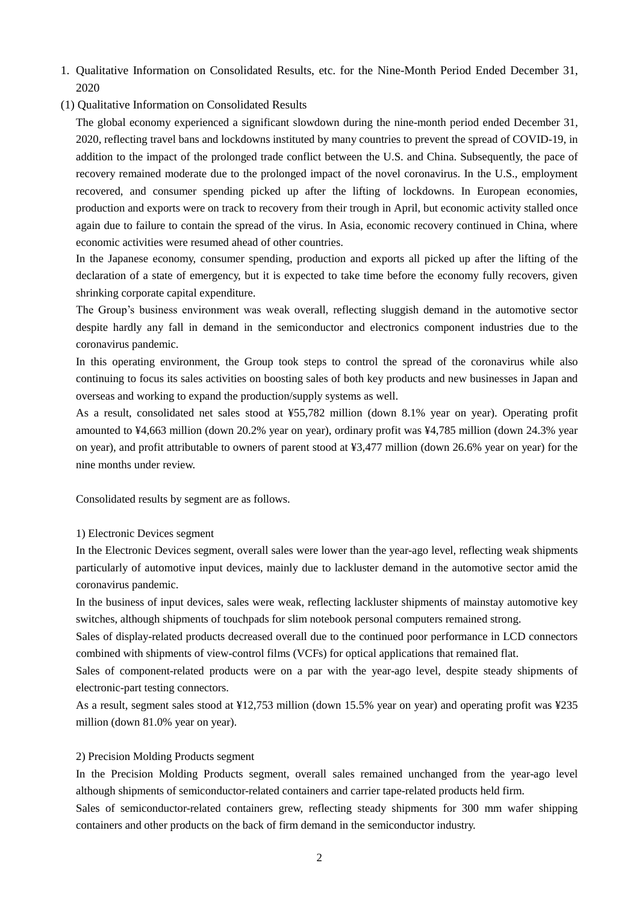- 1. Qualitative Information on Consolidated Results, etc. for the Nine-Month Period Ended December 31, 2020
- (1) Qualitative Information on Consolidated Results

The global economy experienced a significant slowdown during the nine-month period ended December 31, 2020, reflecting travel bans and lockdowns instituted by many countries to prevent the spread of COVID-19, in addition to the impact of the prolonged trade conflict between the U.S. and China. Subsequently, the pace of recovery remained moderate due to the prolonged impact of the novel coronavirus. In the U.S., employment recovered, and consumer spending picked up after the lifting of lockdowns. In European economies, production and exports were on track to recovery from their trough in April, but economic activity stalled once again due to failure to contain the spread of the virus. In Asia, economic recovery continued in China, where economic activities were resumed ahead of other countries.

In the Japanese economy, consumer spending, production and exports all picked up after the lifting of the declaration of a state of emergency, but it is expected to take time before the economy fully recovers, given shrinking corporate capital expenditure.

The Group's business environment was weak overall, reflecting sluggish demand in the automotive sector despite hardly any fall in demand in the semiconductor and electronics component industries due to the coronavirus pandemic.

In this operating environment, the Group took steps to control the spread of the coronavirus while also continuing to focus its sales activities on boosting sales of both key products and new businesses in Japan and overseas and working to expand the production/supply systems as well.

As a result, consolidated net sales stood at ¥55,782 million (down 8.1% year on year). Operating profit amounted to ¥4,663 million (down 20.2% year on year), ordinary profit was ¥4,785 million (down 24.3% year on year), and profit attributable to owners of parent stood at ¥3,477 million (down 26.6% year on year) for the nine months under review.

Consolidated results by segment are as follows.

#### 1) Electronic Devices segment

In the Electronic Devices segment, overall sales were lower than the year-ago level, reflecting weak shipments particularly of automotive input devices, mainly due to lackluster demand in the automotive sector amid the coronavirus pandemic.

In the business of input devices, sales were weak, reflecting lackluster shipments of mainstay automotive key switches, although shipments of touchpads for slim notebook personal computers remained strong.

Sales of display-related products decreased overall due to the continued poor performance in LCD connectors combined with shipments of view-control films (VCFs) for optical applications that remained flat.

Sales of component-related products were on a par with the year-ago level, despite steady shipments of electronic-part testing connectors.

As a result, segment sales stood at ¥12,753 million (down 15.5% year on year) and operating profit was ¥235 million (down 81.0% year on year).

#### 2) Precision Molding Products segment

In the Precision Molding Products segment, overall sales remained unchanged from the year-ago level although shipments of semiconductor-related containers and carrier tape-related products held firm.

Sales of semiconductor-related containers grew, reflecting steady shipments for 300 mm wafer shipping containers and other products on the back of firm demand in the semiconductor industry.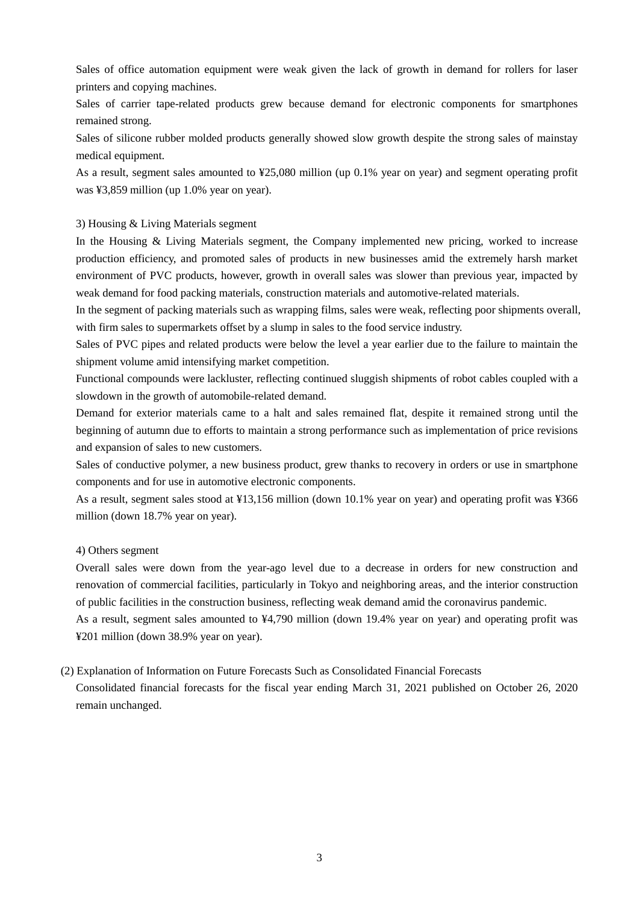Sales of office automation equipment were weak given the lack of growth in demand for rollers for laser printers and copying machines.

Sales of carrier tape-related products grew because demand for electronic components for smartphones remained strong.

Sales of silicone rubber molded products generally showed slow growth despite the strong sales of mainstay medical equipment.

As a result, segment sales amounted to ¥25,080 million (up 0.1% year on year) and segment operating profit was ¥3,859 million (up 1.0% year on year).

#### 3) Housing & Living Materials segment

In the Housing & Living Materials segment, the Company implemented new pricing, worked to increase production efficiency, and promoted sales of products in new businesses amid the extremely harsh market environment of PVC products, however, growth in overall sales was slower than previous year, impacted by weak demand for food packing materials, construction materials and automotive-related materials.

In the segment of packing materials such as wrapping films, sales were weak, reflecting poor shipments overall, with firm sales to supermarkets offset by a slump in sales to the food service industry.

Sales of PVC pipes and related products were below the level a year earlier due to the failure to maintain the shipment volume amid intensifying market competition.

Functional compounds were lackluster, reflecting continued sluggish shipments of robot cables coupled with a slowdown in the growth of automobile-related demand.

Demand for exterior materials came to a halt and sales remained flat, despite it remained strong until the beginning of autumn due to efforts to maintain a strong performance such as implementation of price revisions and expansion of sales to new customers.

Sales of conductive polymer, a new business product, grew thanks to recovery in orders or use in smartphone components and for use in automotive electronic components.

As a result, segment sales stood at ¥13,156 million (down 10.1% year on year) and operating profit was ¥366 million (down 18.7% year on year).

#### 4) Others segment

Overall sales were down from the year-ago level due to a decrease in orders for new construction and renovation of commercial facilities, particularly in Tokyo and neighboring areas, and the interior construction of public facilities in the construction business, reflecting weak demand amid the coronavirus pandemic.

As a result, segment sales amounted to ¥4,790 million (down 19.4% year on year) and operating profit was ¥201 million (down 38.9% year on year).

(2) Explanation of Information on Future Forecasts Such as Consolidated Financial Forecasts

Consolidated financial forecasts for the fiscal year ending March 31, 2021 published on October 26, 2020 remain unchanged.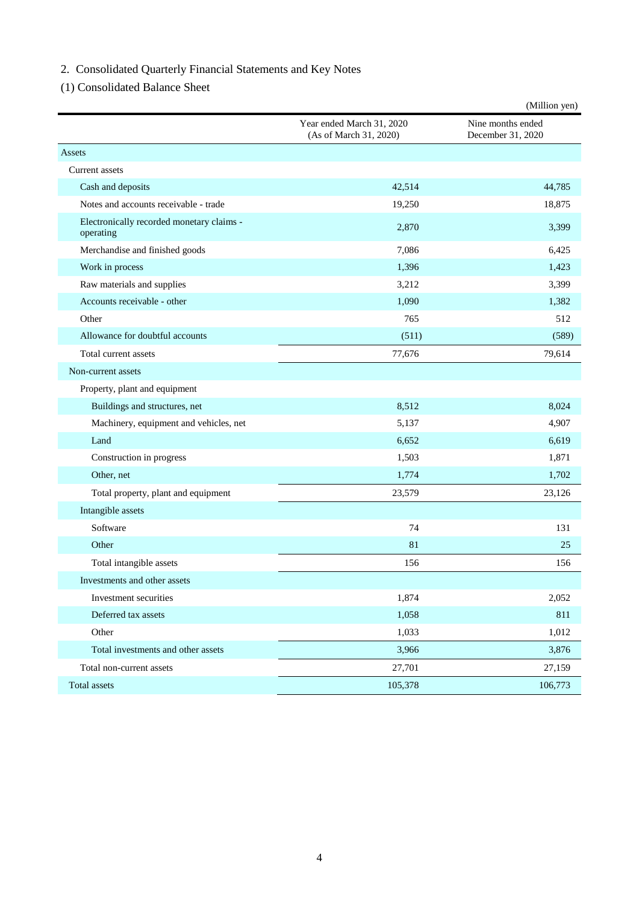# 2. Consolidated Quarterly Financial Statements and Key Notes

(1) Consolidated Balance Sheet

|                                                        |                                                     | (Million yen)                          |
|--------------------------------------------------------|-----------------------------------------------------|----------------------------------------|
|                                                        | Year ended March 31, 2020<br>(As of March 31, 2020) | Nine months ended<br>December 31, 2020 |
| Assets                                                 |                                                     |                                        |
| Current assets                                         |                                                     |                                        |
| Cash and deposits                                      | 42,514                                              | 44,785                                 |
| Notes and accounts receivable - trade                  | 19,250                                              | 18,875                                 |
| Electronically recorded monetary claims -<br>operating | 2,870                                               | 3,399                                  |
| Merchandise and finished goods                         | 7,086                                               | 6,425                                  |
| Work in process                                        | 1,396                                               | 1,423                                  |
| Raw materials and supplies                             | 3,212                                               | 3,399                                  |
| Accounts receivable - other                            | 1,090                                               | 1,382                                  |
| Other                                                  | 765                                                 | 512                                    |
| Allowance for doubtful accounts                        | (511)                                               | (589)                                  |
| Total current assets                                   | 77,676                                              | 79,614                                 |
| Non-current assets                                     |                                                     |                                        |
| Property, plant and equipment                          |                                                     |                                        |
| Buildings and structures, net                          | 8,512                                               | 8,024                                  |
| Machinery, equipment and vehicles, net                 | 5,137                                               | 4,907                                  |
| Land                                                   | 6,652                                               | 6,619                                  |
| Construction in progress                               | 1,503                                               | 1,871                                  |
| Other, net                                             | 1,774                                               | 1,702                                  |
| Total property, plant and equipment                    | 23,579                                              | 23,126                                 |
| Intangible assets                                      |                                                     |                                        |
| Software                                               | 74                                                  | 131                                    |
| Other                                                  | 81                                                  | 25                                     |
| Total intangible assets                                | 156                                                 | 156                                    |
| Investments and other assets                           |                                                     |                                        |
| Investment securities                                  | 1,874                                               | 2,052                                  |
| Deferred tax assets                                    | 1,058                                               | 811                                    |
| Other                                                  | 1,033                                               | 1,012                                  |
| Total investments and other assets                     | 3,966                                               | 3,876                                  |
| Total non-current assets                               | 27,701                                              | 27,159                                 |
| Total assets                                           | 105,378                                             | 106,773                                |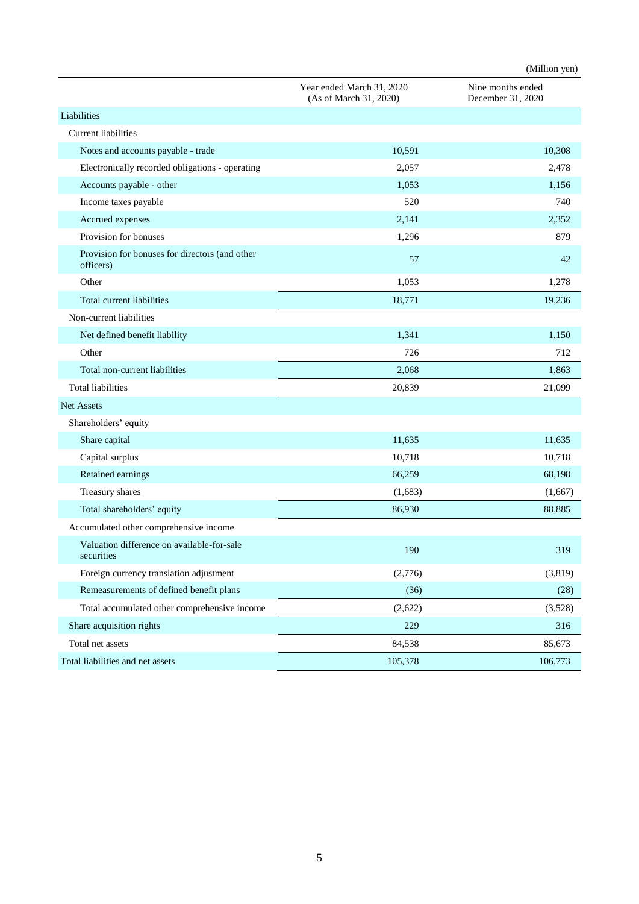|                                                             |                                                     | (Million yen)                          |
|-------------------------------------------------------------|-----------------------------------------------------|----------------------------------------|
|                                                             | Year ended March 31, 2020<br>(As of March 31, 2020) | Nine months ended<br>December 31, 2020 |
| Liabilities                                                 |                                                     |                                        |
| <b>Current liabilities</b>                                  |                                                     |                                        |
| Notes and accounts payable - trade                          | 10,591                                              | 10,308                                 |
| Electronically recorded obligations - operating             | 2,057                                               | 2,478                                  |
| Accounts payable - other                                    | 1,053                                               | 1,156                                  |
| Income taxes payable                                        | 520                                                 | 740                                    |
| Accrued expenses                                            | 2,141                                               | 2,352                                  |
| Provision for bonuses                                       | 1,296                                               | 879                                    |
| Provision for bonuses for directors (and other<br>officers) | 57                                                  | 42                                     |
| Other                                                       | 1,053                                               | 1,278                                  |
| Total current liabilities                                   | 18,771                                              | 19,236                                 |
| Non-current liabilities                                     |                                                     |                                        |
| Net defined benefit liability                               | 1,341                                               | 1,150                                  |
| Other                                                       | 726                                                 | 712                                    |
| Total non-current liabilities                               | 2,068                                               | 1,863                                  |
| <b>Total liabilities</b>                                    | 20,839                                              | 21,099                                 |
| Net Assets                                                  |                                                     |                                        |
| Shareholders' equity                                        |                                                     |                                        |
| Share capital                                               | 11,635                                              | 11,635                                 |
| Capital surplus                                             | 10,718                                              | 10,718                                 |
| Retained earnings                                           | 66,259                                              | 68,198                                 |
| Treasury shares                                             | (1,683)                                             | (1,667)                                |
| Total shareholders' equity                                  | 86,930                                              | 88,885                                 |
| Accumulated other comprehensive income                      |                                                     |                                        |
| Valuation difference on available-for-sale<br>securities    | 190                                                 | 319                                    |
| Foreign currency translation adjustment                     | (2,776)                                             | (3, 819)                               |
| Remeasurements of defined benefit plans                     | (36)                                                | (28)                                   |
| Total accumulated other comprehensive income                | (2,622)                                             | (3,528)                                |
| Share acquisition rights                                    | 229                                                 | 316                                    |
| Total net assets                                            | 84,538                                              | 85,673                                 |
| Total liabilities and net assets                            | 105,378                                             | 106,773                                |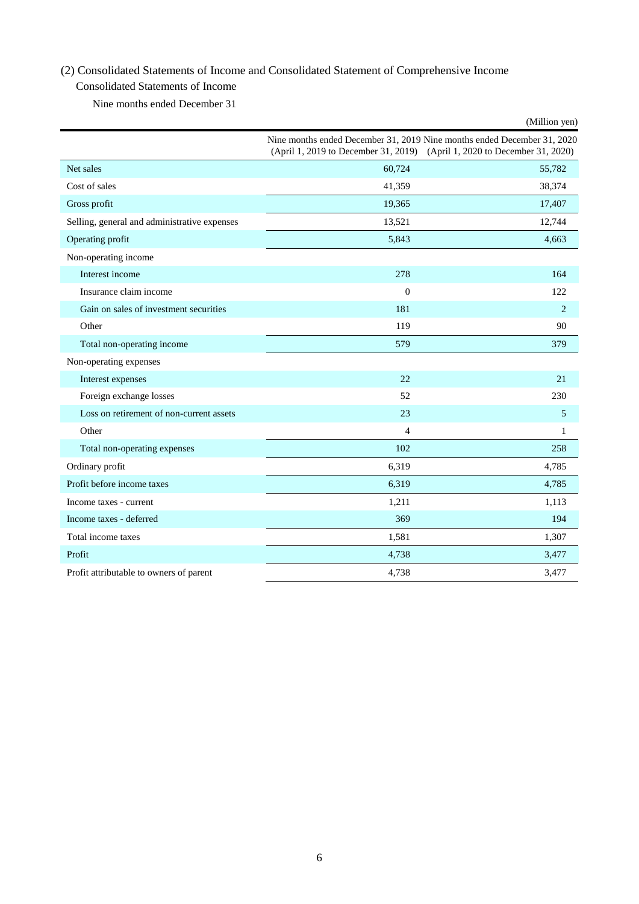## (2) Consolidated Statements of Income and Consolidated Statement of Comprehensive Income

## Consolidated Statements of Income

Nine months ended December 31

|                                              |                | (Million yen)                                                                                                                                        |
|----------------------------------------------|----------------|------------------------------------------------------------------------------------------------------------------------------------------------------|
|                                              |                | Nine months ended December 31, 2019 Nine months ended December 31, 2020<br>(April 1, 2019 to December 31, 2019) (April 1, 2020 to December 31, 2020) |
| Net sales                                    | 60,724         | 55,782                                                                                                                                               |
| Cost of sales                                | 41,359         | 38,374                                                                                                                                               |
| Gross profit                                 | 19,365         | 17,407                                                                                                                                               |
| Selling, general and administrative expenses | 13,521         | 12,744                                                                                                                                               |
| Operating profit                             | 5,843          | 4,663                                                                                                                                                |
| Non-operating income                         |                |                                                                                                                                                      |
| Interest income                              | 278            | 164                                                                                                                                                  |
| Insurance claim income                       | $\mathbf{0}$   | 122                                                                                                                                                  |
| Gain on sales of investment securities       | 181            | $\overline{2}$                                                                                                                                       |
| Other                                        | 119            | 90                                                                                                                                                   |
| Total non-operating income                   | 579            | 379                                                                                                                                                  |
| Non-operating expenses                       |                |                                                                                                                                                      |
| Interest expenses                            | 22             | 21                                                                                                                                                   |
| Foreign exchange losses                      | 52             | 230                                                                                                                                                  |
| Loss on retirement of non-current assets     | 23             | 5                                                                                                                                                    |
| Other                                        | $\overline{4}$ | $\mathbf{1}$                                                                                                                                         |
| Total non-operating expenses                 | 102            | 258                                                                                                                                                  |
| Ordinary profit                              | 6,319          | 4,785                                                                                                                                                |
| Profit before income taxes                   | 6,319          | 4,785                                                                                                                                                |
| Income taxes - current                       | 1,211          | 1,113                                                                                                                                                |
| Income taxes - deferred                      | 369            | 194                                                                                                                                                  |
| Total income taxes                           | 1,581          | 1,307                                                                                                                                                |
| Profit                                       | 4,738          | 3,477                                                                                                                                                |
| Profit attributable to owners of parent      | 4,738          | 3,477                                                                                                                                                |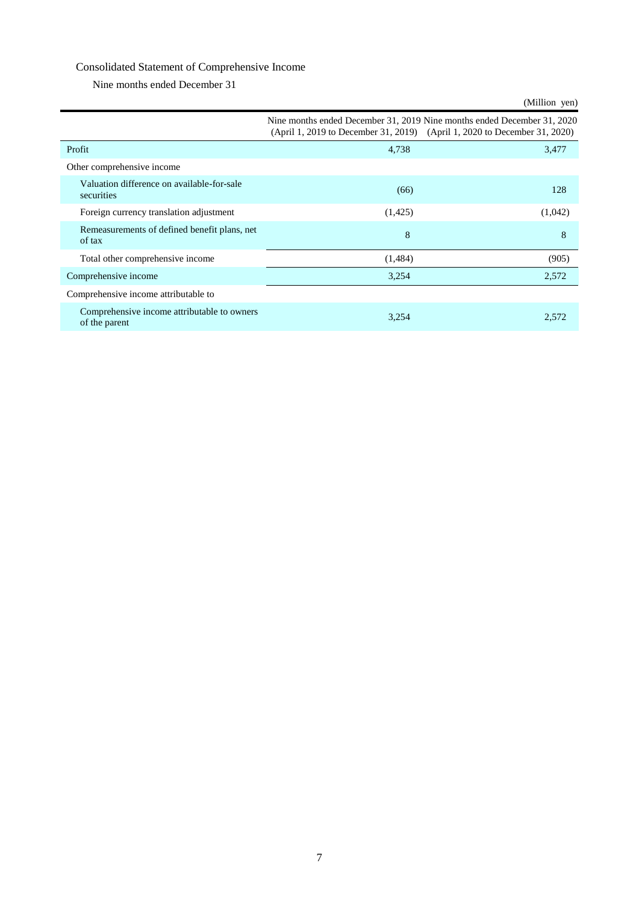## Consolidated Statement of Comprehensive Income

Nine months ended December 31

|                                                              |         | (Million yen)                                                                                                                                        |
|--------------------------------------------------------------|---------|------------------------------------------------------------------------------------------------------------------------------------------------------|
|                                                              |         | Nine months ended December 31, 2019 Nine months ended December 31, 2020<br>(April 1, 2019 to December 31, 2019) (April 1, 2020 to December 31, 2020) |
| Profit                                                       | 4,738   | 3,477                                                                                                                                                |
| Other comprehensive income                                   |         |                                                                                                                                                      |
| Valuation difference on available-for-sale<br>securities     | (66)    | 128                                                                                                                                                  |
| Foreign currency translation adjustment                      | (1,425) | (1,042)                                                                                                                                              |
| Remeasurements of defined benefit plans, net<br>of tax       | 8       | 8                                                                                                                                                    |
| Total other comprehensive income                             | (1,484) | (905)                                                                                                                                                |
| Comprehensive income                                         | 3,254   | 2,572                                                                                                                                                |
| Comprehensive income attributable to                         |         |                                                                                                                                                      |
| Comprehensive income attributable to owners<br>of the parent | 3,254   | 2,572                                                                                                                                                |

## 7